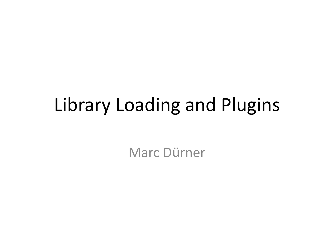### Library Loading and Plugins

Marc Dürner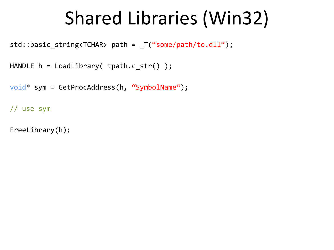### Shared Libraries (Win32)

std::basic\_string<TCHAR> path = \_T("some/path/to.dll");

```
HANDLE h = LoadLibrary( tpath.c_str() );
```

```
void* sym = GetProcAddress(h, "SymbolName");
```

```
// use sym
```

```
FreeLibrary(h);
```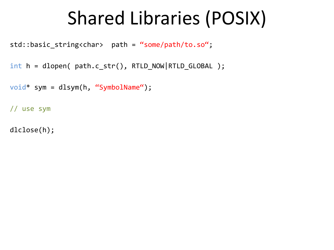### Shared Libraries (POSIX)

std::basic\_string<char> path = "some/path/to.so";

```
int h = dlopen( path.c_str(), RTLD_NOW|RTLD_GLOBAL );
```

```
void* sym = dlsym(h, "SymbolName");
```
// use sym

dlclose(h);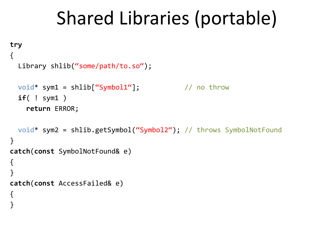### Shared Libraries (portable)

```
try
{
   Library shlib("some/path/to.so");
  void* sym1 = shlib["Symbol1"]; // no throw
   if( ! sym1 )
    return ERROR;
  void* sym2 = shlib.getSymbol("Symbol2"); // throws SymbolNotFound
} 
catch(const SymbolNotFound& e)
{
}
catch(const AccessFailed& e)
{
}
```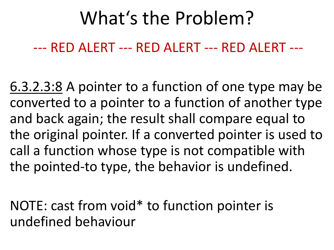--- RED ALERT --- RED ALERT --- RED ALERT ---

6.3.2.3:8 A pointer to a function of one type may be converted to a pointer to a function of another type and back again; the result shall compare equal to the original pointer. If a converted pointer is used to call a function whose type is not compatible with the pointed-to type, the behavior is undefined.

NOTE: cast from void\* to function pointer is undefined behaviour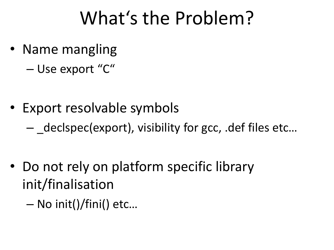- Name mangling
	- Use export "C"
- Export resolvable symbols
	- $-$  declspec(export), visibility for gcc, .def files etc...
- Do not rely on platform specific library init/finalisation
	- No init()/fini() etc…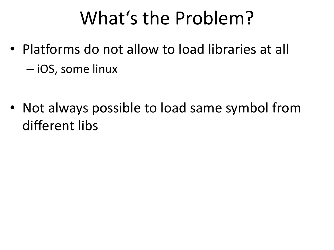- Platforms do not allow to load libraries at all – iOS, some linux
- Not always possible to load same symbol from different libs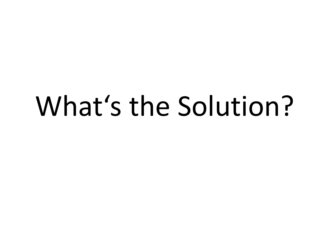# What's the Solution?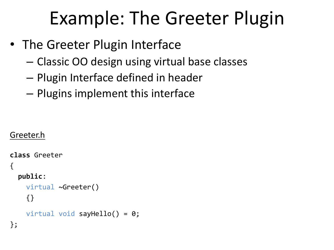- The Greeter Plugin Interface
	- Classic OO design using virtual base classes
	- Plugin Interface defined in header
	- Plugins implement this interface

```
Greeter.h
```

```
class Greeter 
{
   public: 
     virtual ~Greeter() 
     {} 
    virtual void sayHello() = 0;
};
```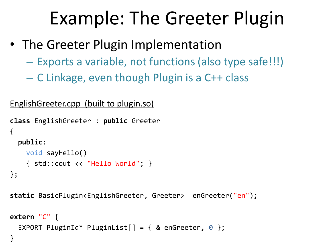- The Greeter Plugin Implementation
	- Exports a variable, not functions (also type safe!!!)
	- C Linkage, even though Plugin is a C++ class

```
EnglishGreeter.cpp (built to plugin.so)
```

```
class EnglishGreeter : public Greeter 
{ 
   public: 
     void sayHello() 
     { std::cout << "Hello World"; } 
};
```

```
static BasicPlugin<EnglishGreeter, Greeter> _enGreeter("en");
```

```
extern "C" { 
  EXPORT PluginId* PluginList[] = { & enGreeter, \theta };
}
```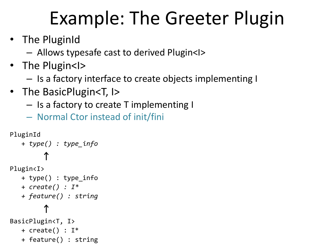- The PluginId
	- Allows typesafe cast to derived Plugin<I>
- The Plugin<I>
	- Is a factory interface to create objects implementing I
- The BasicPlugin<T, I>
	- Is a factory to create T implementing I
	- Normal Ctor instead of init/fini

```
PluginId
    + type() : type_info
\uparrowPlugin<I>
    + type() : type_info
    + create() : I*
    + feature() : string
\uparrowBasicPlugin<T, I>
   + create() : I^* + feature() : string
```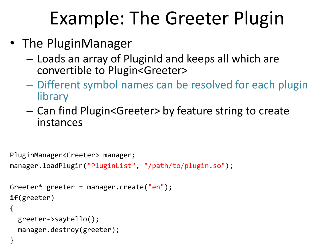- The PluginManager
	- Loads an array of PluginId and keeps all which are convertible to Plugin<Greeter>
	- Different symbol names can be resolved for each plugin library
	- Can find Plugin<Greeter> by feature string to create instances

```
PluginManager<Greeter> manager;
manager.loadPlugin("PluginList", "/path/to/plugin.so"); 
Greeter* greeter = manager.create("en"); 
if(greeter) 
{ 
   greeter->sayHello(); 
  manager.destroy(greeter); 
}
```